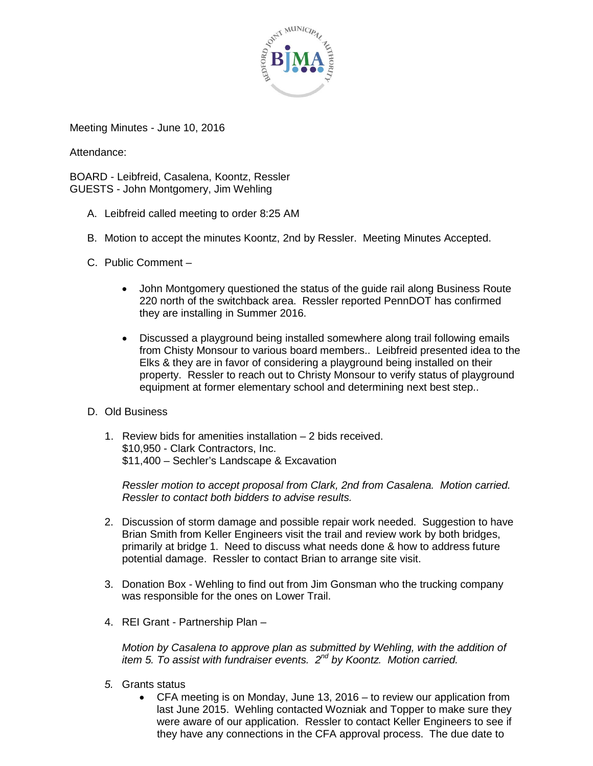

Meeting Minutes - June 10, 2016

Attendance:

BOARD - Leibfreid, Casalena, Koontz, Ressler GUESTS - John Montgomery, Jim Wehling

- A. Leibfreid called meeting to order 8:25 AM
- B. Motion to accept the minutes Koontz, 2nd by Ressler. Meeting Minutes Accepted.
- C. Public Comment
	- John Montgomery questioned the status of the guide rail along Business Route 220 north of the switchback area. Ressler reported PennDOT has confirmed they are installing in Summer 2016.
	- Discussed a playground being installed somewhere along trail following emails from Chisty Monsour to various board members.. Leibfreid presented idea to the Elks & they are in favor of considering a playground being installed on their property. Ressler to reach out to Christy Monsour to verify status of playground equipment at former elementary school and determining next best step..
- D. Old Business
	- 1. Review bids for amenities installation 2 bids received. \$10,950 - Clark Contractors, Inc. \$11,400 – Sechler's Landscape & Excavation

*Ressler motion to accept proposal from Clark, 2nd from Casalena. Motion carried. Ressler to contact both bidders to advise results.*

- 2. Discussion of storm damage and possible repair work needed. Suggestion to have Brian Smith from Keller Engineers visit the trail and review work by both bridges, primarily at bridge 1. Need to discuss what needs done & how to address future potential damage. Ressler to contact Brian to arrange site visit.
- 3. Donation Box Wehling to find out from Jim Gonsman who the trucking company was responsible for the ones on Lower Trail.
- 4. REI Grant Partnership Plan –

*Motion by Casalena to approve plan as submitted by Wehling, with the addition of item 5. To assist with fundraiser events. 2nd by Koontz. Motion carried.* 

- *5.* Grants status
	- CFA meeting is on Monday, June 13, 2016 to review our application from last June 2015. Wehling contacted Wozniak and Topper to make sure they were aware of our application. Ressler to contact Keller Engineers to see if they have any connections in the CFA approval process. The due date to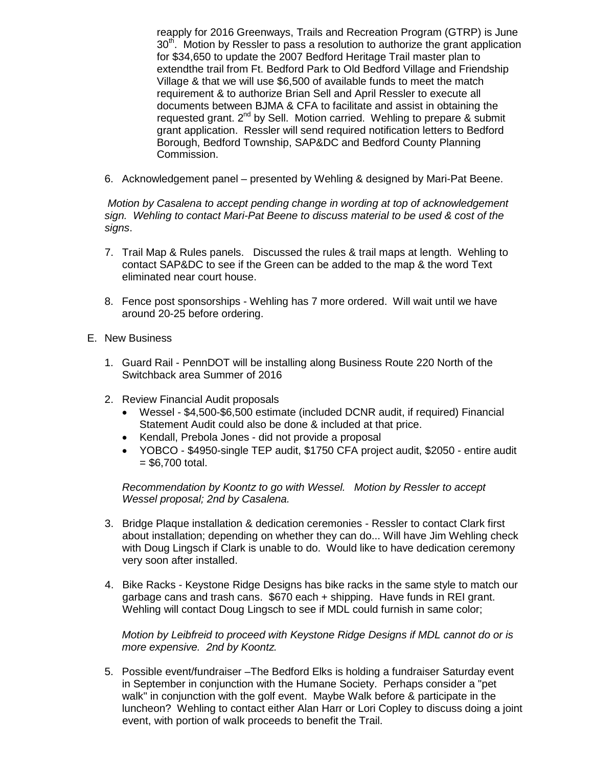reapply for 2016 Greenways, Trails and Recreation Program (GTRP) is June 30<sup>th</sup>. Motion by Ressler to pass a resolution to authorize the grant application for \$34,650 to update the 2007 Bedford Heritage Trail master plan to extendthe trail from Ft. Bedford Park to Old Bedford Village and Friendship Village & that we will use \$6,500 of available funds to meet the match requirement & to authorize Brian Sell and April Ressler to execute all documents between BJMA & CFA to facilitate and assist in obtaining the requested grant. 2<sup>nd</sup> by Sell. Motion carried. Wehling to prepare & submit grant application. Ressler will send required notification letters to Bedford Borough, Bedford Township, SAP&DC and Bedford County Planning Commission.

6. Acknowledgement panel – presented by Wehling & designed by Mari-Pat Beene.

*Motion by Casalena to accept pending change in wording at top of acknowledgement sign. Wehling to contact Mari-Pat Beene to discuss material to be used & cost of the signs*.

- 7. Trail Map & Rules panels. Discussed the rules & trail maps at length. Wehling to contact SAP&DC to see if the Green can be added to the map & the word Text eliminated near court house.
- 8. Fence post sponsorships Wehling has 7 more ordered. Will wait until we have around 20-25 before ordering.
- E. New Business
	- 1. Guard Rail PennDOT will be installing along Business Route 220 North of the Switchback area Summer of 2016
	- 2. Review Financial Audit proposals
		- Wessel \$4,500-\$6,500 estimate (included DCNR audit, if required) Financial Statement Audit could also be done & included at that price.
		- Kendall, Prebola Jones did not provide a proposal
		- YOBCO \$4950-single TEP audit, \$1750 CFA project audit, \$2050 entire audit  $= $6,700$  total.

*Recommendation by Koontz to go with Wessel. Motion by Ressler to accept Wessel proposal; 2nd by Casalena.*

- 3. Bridge Plaque installation & dedication ceremonies Ressler to contact Clark first about installation; depending on whether they can do... Will have Jim Wehling check with Doug Lingsch if Clark is unable to do. Would like to have dedication ceremony very soon after installed.
- 4. Bike Racks Keystone Ridge Designs has bike racks in the same style to match our garbage cans and trash cans. \$670 each + shipping. Have funds in REI grant. Wehling will contact Doug Lingsch to see if MDL could furnish in same color;

*Motion by Leibfreid to proceed with Keystone Ridge Designs if MDL cannot do or is more expensive. 2nd by Koontz.* 

5. Possible event/fundraiser –The Bedford Elks is holding a fundraiser Saturday event in September in conjunction with the Humane Society. Perhaps consider a "pet walk" in conjunction with the golf event. Maybe Walk before & participate in the luncheon? Wehling to contact either Alan Harr or Lori Copley to discuss doing a joint event, with portion of walk proceeds to benefit the Trail.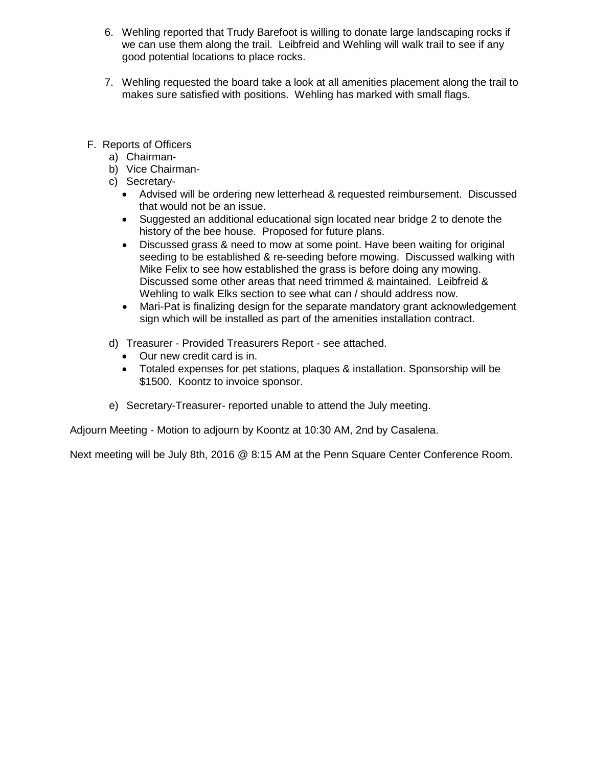- 6. Wehling reported that Trudy Barefoot is willing to donate large landscaping rocks if we can use them along the trail. Leibfreid and Wehling will walk trail to see if any good potential locations to place rocks.
- 7. Wehling requested the board take a look at all amenities placement along the trail to makes sure satisfied with positions. Wehling has marked with small flags.
- F. Reports of Officers
	- a) Chairman-
	- b) Vice Chairman-
	- c) Secretary-
		- Advised will be ordering new letterhead & requested reimbursement. Discussed that would not be an issue.
		- Suggested an additional educational sign located near bridge 2 to denote the history of the bee house. Proposed for future plans.
		- Discussed grass & need to mow at some point. Have been waiting for original seeding to be established & re-seeding before mowing. Discussed walking with Mike Felix to see how established the grass is before doing any mowing. Discussed some other areas that need trimmed & maintained. Leibfreid & Wehling to walk Elks section to see what can / should address now.
		- Mari-Pat is finalizing design for the separate mandatory grant acknowledgement sign which will be installed as part of the amenities installation contract.
	- d) Treasurer Provided Treasurers Report see attached.
		- Our new credit card is in.
		- Totaled expenses for pet stations, plaques & installation. Sponsorship will be \$1500. Koontz to invoice sponsor.
	- e) Secretary-Treasurer- reported unable to attend the July meeting.

Adjourn Meeting - Motion to adjourn by Koontz at 10:30 AM, 2nd by Casalena.

Next meeting will be July 8th, 2016 @ 8:15 AM at the Penn Square Center Conference Room.